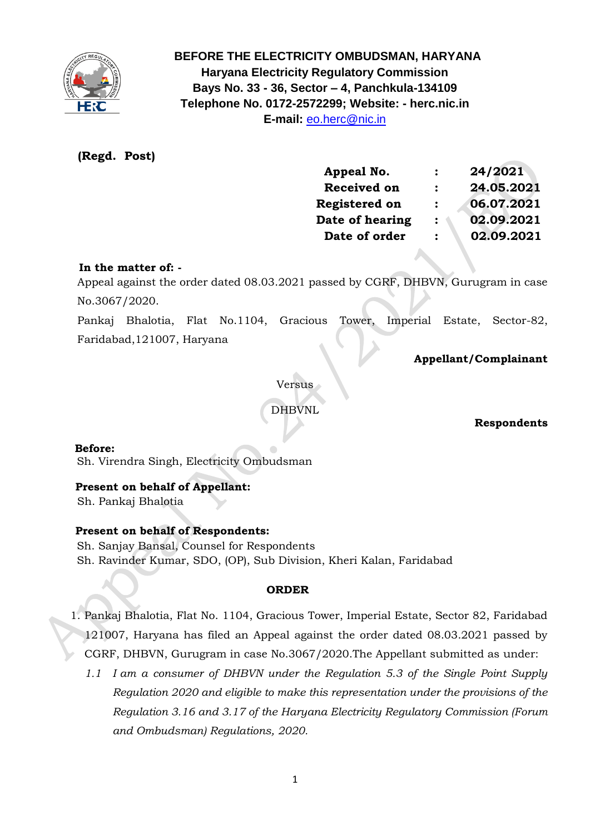

 **BEFORE THE ELECTRICITY OMBUDSMAN, HARYANA Haryana Electricity Regulatory Commission Bays No. 33 - 36, Sector – 4, Panchkula-134109 Telephone No. 0172-2572299; Website: - herc.nic.in E-mail:** [eo.herc@nic.in](mailto:eo.herc@nic.in)

## **(Regd. Post)**

| Appeal No.           | 24/2021    |
|----------------------|------------|
| <b>Received on</b>   | 24.05.2021 |
| <b>Registered on</b> | 06.07.2021 |
| Date of hearing      | 02.09.2021 |
| Date of order        | 02.09.2021 |
|                      |            |

#### **In the matter of: -**

 Appeal against the order dated 08.03.2021 passed by CGRF, DHBVN, Gurugram in case No.3067/2020.

 Pankaj Bhalotia, Flat No.1104, Gracious Tower, Imperial Estate, Sector-82, Faridabad,121007, Haryana

## **Appellant/Complainant**

Versus

DHBVNL

#### **Respondents**

 **Before:** 

Sh. Virendra Singh, Electricity Ombudsman

#### **Present on behalf of Appellant:**

Sh. Pankaj Bhalotia

#### **Present on behalf of Respondents:**

 Sh. Sanjay Bansal, Counsel for Respondents Sh. Ravinder Kumar, SDO, (OP), Sub Division, Kheri Kalan, Faridabad

#### **ORDER**

1. Pankaj Bhalotia, Flat No. 1104, Gracious Tower, Imperial Estate, Sector 82, Faridabad 121007, Haryana has filed an Appeal against the order dated 08.03.2021 passed by CGRF, DHBVN, Gurugram in case No.3067/2020.The Appellant submitted as under:

*1.1 I am a consumer of DHBVN under the Regulation 5.3 of the Single Point Supply Regulation 2020 and eligible to make this representation under the provisions of the Regulation 3.16 and 3.17 of the Haryana Electricity Regulatory Commission (Forum and Ombudsman) Regulations, 2020.*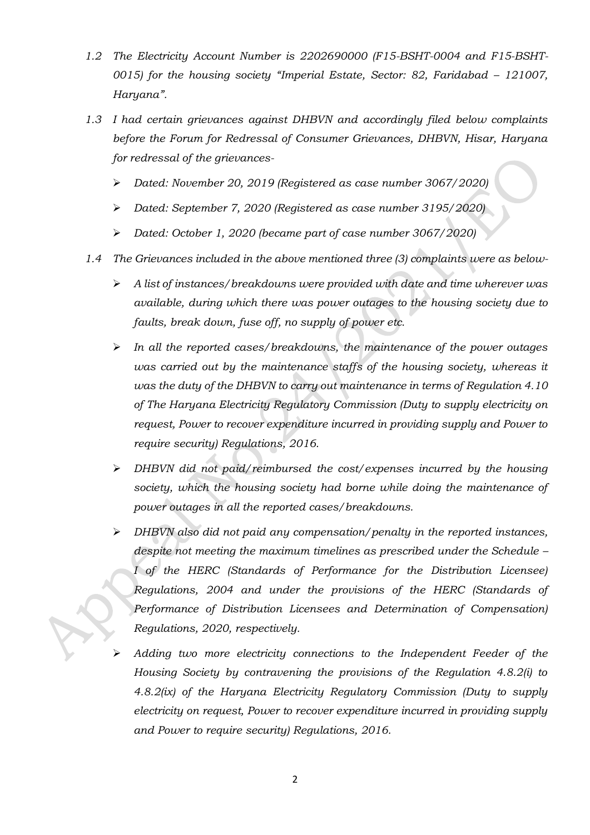- *1.2 The Electricity Account Number is 2202690000 (F15-BSHT-0004 and F15-BSHT-0015) for the housing society "Imperial Estate, Sector: 82, Faridabad – 121007, Haryana".*
- *1.3 I had certain grievances against DHBVN and accordingly filed below complaints before the Forum for Redressal of Consumer Grievances, DHBVN, Hisar, Haryana for redressal of the grievances-*
	- ➢ *Dated: November 20, 2019 (Registered as case number 3067/2020)*
	- ➢ *Dated: September 7, 2020 (Registered as case number 3195/2020)*
	- ➢ *Dated: October 1, 2020 (became part of case number 3067/2020)*
- *1.4 The Grievances included in the above mentioned three (3) complaints were as below-*
	- ➢ *A list of instances/breakdowns were provided with date and time wherever was available, during which there was power outages to the housing society due to faults, break down, fuse off, no supply of power etc.*
	- ➢ *In all the reported cases/breakdowns, the maintenance of the power outages was carried out by the maintenance staffs of the housing society, whereas it was the duty of the DHBVN to carry out maintenance in terms of Regulation 4.10 of The Haryana Electricity Regulatory Commission (Duty to supply electricity on request, Power to recover expenditure incurred in providing supply and Power to require security) Regulations, 2016.*
	- ➢ *DHBVN did not paid/reimbursed the cost/expenses incurred by the housing society, which the housing society had borne while doing the maintenance of power outages in all the reported cases/breakdowns.*
	- ➢ *DHBVN also did not paid any compensation/penalty in the reported instances, despite not meeting the maximum timelines as prescribed under the Schedule – I of the HERC (Standards of Performance for the Distribution Licensee) Regulations, 2004 and under the provisions of the HERC (Standards of Performance of Distribution Licensees and Determination of Compensation) Regulations, 2020, respectively.*
	- ➢ *Adding two more electricity connections to the Independent Feeder of the Housing Society by contravening the provisions of the Regulation 4.8.2(i) to 4.8.2(ix) of the Haryana Electricity Regulatory Commission (Duty to supply electricity on request, Power to recover expenditure incurred in providing supply and Power to require security) Regulations, 2016.*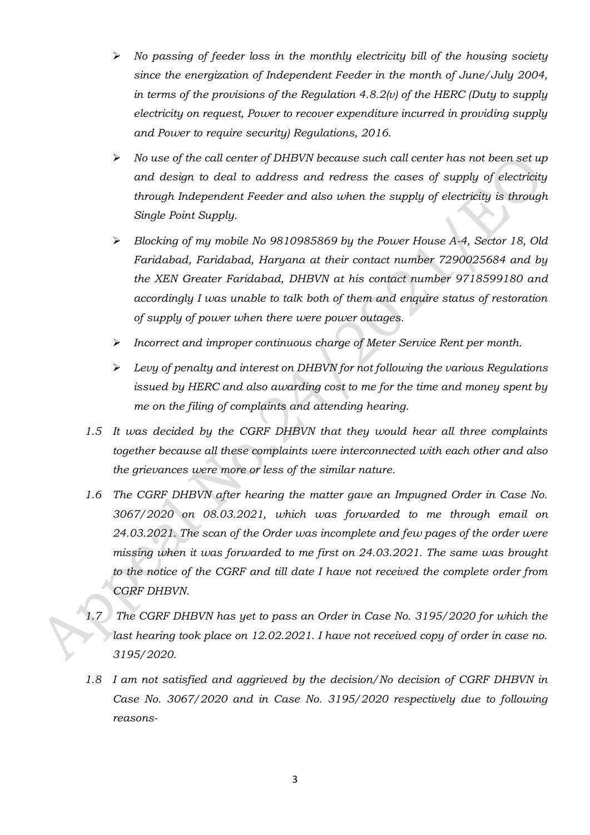- ➢ *No passing of feeder loss in the monthly electricity bill of the housing society since the energization of Independent Feeder in the month of June/July 2004, in terms of the provisions of the Regulation 4.8.2(v) of the HERC (Duty to supply electricity on request, Power to recover expenditure incurred in providing supply and Power to require security) Regulations, 2016.*
- ➢ *No use of the call center of DHBVN because such call center has not been set up and design to deal to address and redress the cases of supply of electricity through Independent Feeder and also when the supply of electricity is through Single Point Supply.*
- ➢ *Blocking of my mobile No 9810985869 by the Power House A-4, Sector 18, Old Faridabad, Faridabad, Haryana at their contact number 7290025684 and by the XEN Greater Faridabad, DHBVN at his contact number 9718599180 and accordingly I was unable to talk both of them and enquire status of restoration of supply of power when there were power outages.*
- ➢ *Incorrect and improper continuous charge of Meter Service Rent per month.*
- ➢ *Levy of penalty and interest on DHBVN for not following the various Regulations issued by HERC and also awarding cost to me for the time and money spent by me on the filing of complaints and attending hearing.*
- *1.5 It was decided by the CGRF DHBVN that they would hear all three complaints together because all these complaints were interconnected with each other and also the grievances were more or less of the similar nature.*
- *1.6 The CGRF DHBVN after hearing the matter gave an Impugned Order in Case No. 3067/2020 on 08.03.2021, which was forwarded to me through email on 24.03.2021. The scan of the Order was incomplete and few pages of the order were missing when it was forwarded to me first on 24.03.2021. The same was brought to the notice of the CGRF and till date I have not received the complete order from CGRF DHBVN.*
- *1.7 The CGRF DHBVN has yet to pass an Order in Case No. 3195/2020 for which the*  last hearing took place on 12.02.2021. I have not received copy of order in case no. *3195/2020.*
- *1.8 I am not satisfied and aggrieved by the decision/No decision of CGRF DHBVN in Case No. 3067/2020 and in Case No. 3195/2020 respectively due to following reasons-*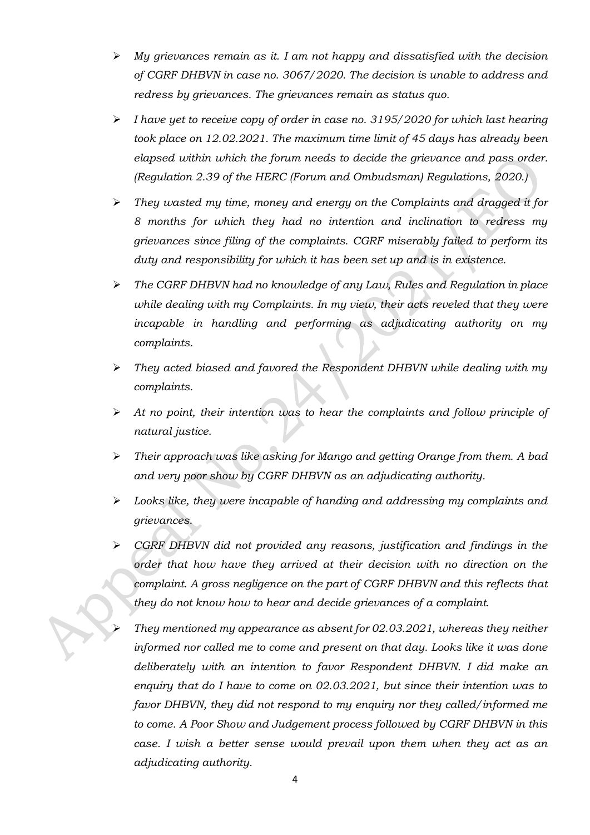- ➢ *My grievances remain as it. I am not happy and dissatisfied with the decision of CGRF DHBVN in case no. 3067/2020. The decision is unable to address and redress by grievances. The grievances remain as status quo.*
- ➢ *I have yet to receive copy of order in case no. 3195/2020 for which last hearing took place on 12.02.2021. The maximum time limit of 45 days has already been elapsed within which the forum needs to decide the grievance and pass order. (Regulation 2.39 of the HERC (Forum and Ombudsman) Regulations, 2020.)*
- ➢ *They wasted my time, money and energy on the Complaints and dragged it for 8 months for which they had no intention and inclination to redress my grievances since filing of the complaints. CGRF miserably failed to perform its duty and responsibility for which it has been set up and is in existence.*
- ➢ *The CGRF DHBVN had no knowledge of any Law, Rules and Regulation in place*  while dealing with my Complaints. In my view, their acts reveled that they were *incapable in handling and performing as adjudicating authority on my complaints.*
- ➢ *They acted biased and favored the Respondent DHBVN while dealing with my complaints.*
- ➢ *At no point, their intention was to hear the complaints and follow principle of natural justice.*
- ➢ *Their approach was like asking for Mango and getting Orange from them. A bad and very poor show by CGRF DHBVN as an adjudicating authority.*
- ➢ *Looks like, they were incapable of handing and addressing my complaints and grievances.*
- ➢ *CGRF DHBVN did not provided any reasons, justification and findings in the order that how have they arrived at their decision with no direction on the complaint. A gross negligence on the part of CGRF DHBVN and this reflects that they do not know how to hear and decide grievances of a complaint.*
	- ➢ *They mentioned my appearance as absent for 02.03.2021, whereas they neither informed nor called me to come and present on that day. Looks like it was done deliberately with an intention to favor Respondent DHBVN. I did make an enquiry that do I have to come on 02.03.2021, but since their intention was to favor DHBVN, they did not respond to my enquiry nor they called/informed me to come. A Poor Show and Judgement process followed by CGRF DHBVN in this case. I wish a better sense would prevail upon them when they act as an adjudicating authority.*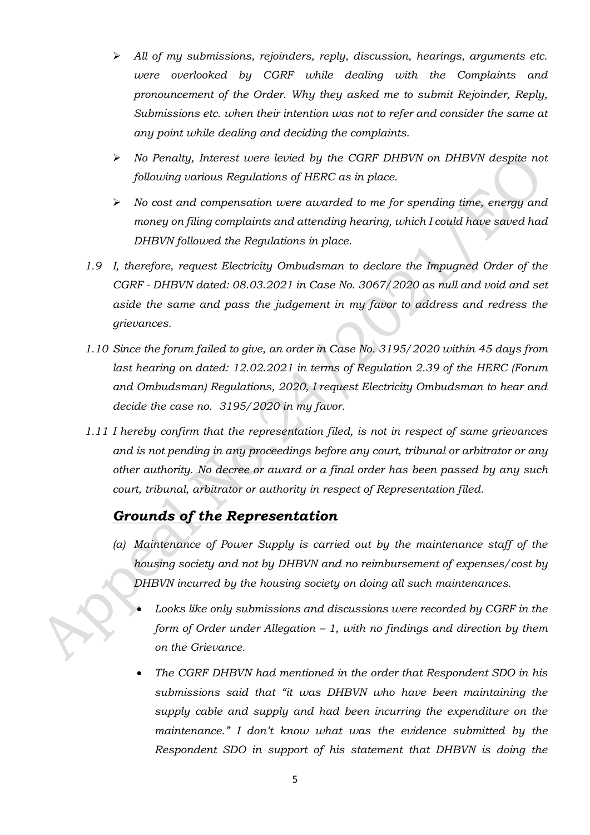- ➢ *All of my submissions, rejoinders, reply, discussion, hearings, arguments etc. were overlooked by CGRF while dealing with the Complaints and pronouncement of the Order. Why they asked me to submit Rejoinder, Reply, Submissions etc. when their intention was not to refer and consider the same at any point while dealing and deciding the complaints.*
- ➢ *No Penalty, Interest were levied by the CGRF DHBVN on DHBVN despite not following various Regulations of HERC as in place.*
- ➢ *No cost and compensation were awarded to me for spending time, energy and money on filing complaints and attending hearing, which I could have saved had DHBVN followed the Regulations in place.*
- *1.9 I, therefore, request Electricity Ombudsman to declare the Impugned Order of the CGRF - DHBVN dated: 08.03.2021 in Case No. 3067/2020 as null and void and set aside the same and pass the judgement in my favor to address and redress the grievances.*
- *1.10 Since the forum failed to give, an order in Case No. 3195/2020 within 45 days from last hearing on dated: 12.02.2021 in terms of Regulation 2.39 of the HERC (Forum and Ombudsman) Regulations, 2020, I request Electricity Ombudsman to hear and decide the case no. 3195/2020 in my favor.*
- *1.11 I hereby confirm that the representation filed, is not in respect of same grievances and is not pending in any proceedings before any court, tribunal or arbitrator or any other authority. No decree or award or a final order has been passed by any such court, tribunal, arbitrator or authority in respect of Representation filed.*

## *Grounds of the Representation*

- *(a) Maintenance of Power Supply is carried out by the maintenance staff of the housing society and not by DHBVN and no reimbursement of expenses/cost by DHBVN incurred by the housing society on doing all such maintenances.*
	- *Looks like only submissions and discussions were recorded by CGRF in the form of Order under Allegation – 1, with no findings and direction by them on the Grievance.*
	- *The CGRF DHBVN had mentioned in the order that Respondent SDO in his submissions said that "it was DHBVN who have been maintaining the supply cable and supply and had been incurring the expenditure on the maintenance." I don't know what was the evidence submitted by the Respondent SDO in support of his statement that DHBVN is doing the*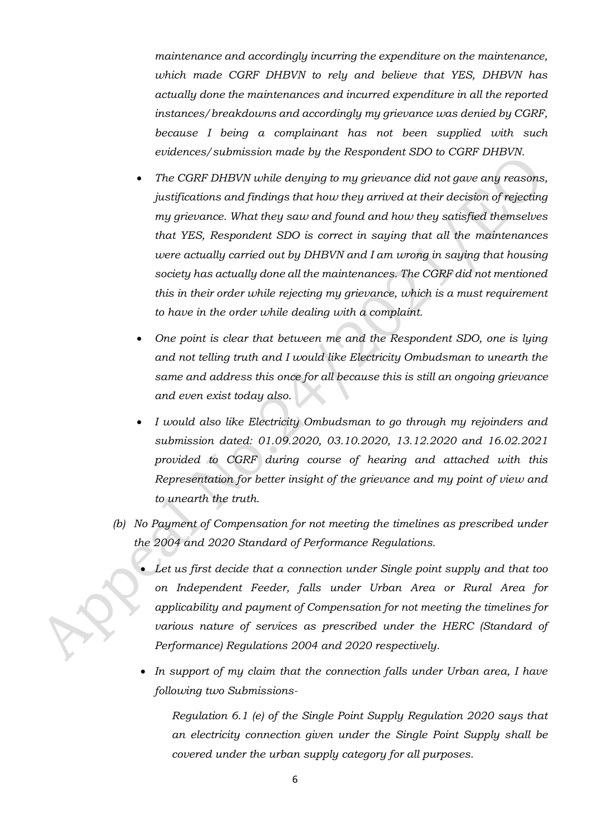*maintenance and accordingly incurring the expenditure on the maintenance, which made CGRF DHBVN to rely and believe that YES, DHBVN has actually done the maintenances and incurred expenditure in all the reported instances/breakdowns and accordingly my grievance was denied by CGRF, because I being a complainant has not been supplied with such evidences/submission made by the Respondent SDO to CGRF DHBVN.*

- *The CGRF DHBVN while denying to my grievance did not gave any reasons, justifications and findings that how they arrived at their decision of rejecting my grievance. What they saw and found and how they satisfied themselves that YES, Respondent SDO is correct in saying that all the maintenances were actually carried out by DHBVN and I am wrong in saying that housing society has actually done all the maintenances. The CGRF did not mentioned this in their order while rejecting my grievance, which is a must requirement to have in the order while dealing with a complaint.*
- *One point is clear that between me and the Respondent SDO, one is lying and not telling truth and I would like Electricity Ombudsman to unearth the same and address this once for all because this is still an ongoing grievance and even exist today also.*
- *I would also like Electricity Ombudsman to go through my rejoinders and submission dated: 01.09.2020, 03.10.2020, 13.12.2020 and 16.02.2021 provided to CGRF during course of hearing and attached with this Representation for better insight of the grievance and my point of view and to unearth the truth.*
- *(b) No Payment of Compensation for not meeting the timelines as prescribed under the 2004 and 2020 Standard of Performance Regulations.*
	- *Let us first decide that a connection under Single point supply and that too on Independent Feeder, falls under Urban Area or Rural Area for applicability and payment of Compensation for not meeting the timelines for various nature of services as prescribed under the HERC (Standard of Performance) Regulations 2004 and 2020 respectively.*
	- *In support of my claim that the connection falls under Urban area, I have following two Submissions-*

*Regulation 6.1 (e) of the Single Point Supply Regulation 2020 says that an electricity connection given under the Single Point Supply shall be covered under the urban supply category for all purposes.*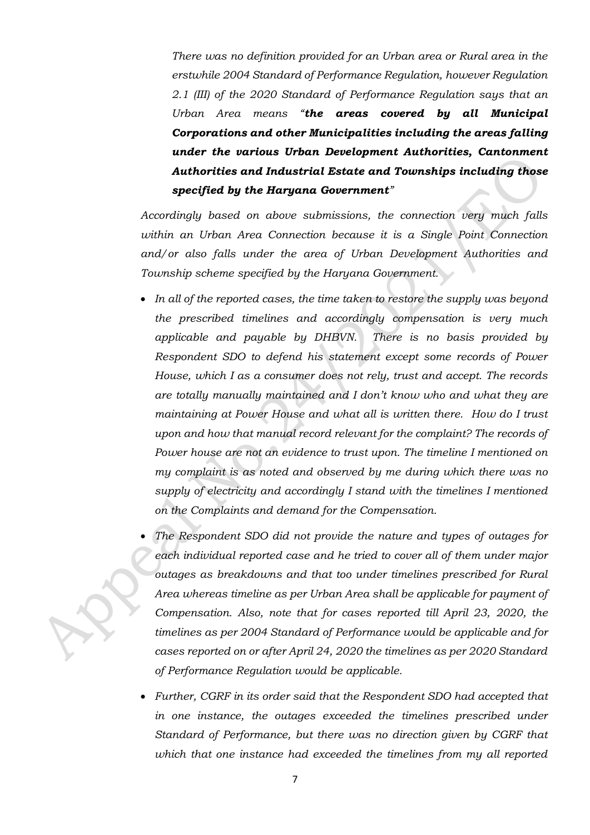*There was no definition provided for an Urban area or Rural area in the erstwhile 2004 Standard of Performance Regulation, however Regulation 2.1 (III) of the 2020 Standard of Performance Regulation says that an Urban Area means "the areas covered by all Municipal Corporations and other Municipalities including the areas falling under the various Urban Development Authorities, Cantonment Authorities and Industrial Estate and Townships including those specified by the Haryana Government"*

*Accordingly based on above submissions, the connection very much falls within an Urban Area Connection because it is a Single Point Connection and/or also falls under the area of Urban Development Authorities and Township scheme specified by the Haryana Government.*

- *In all of the reported cases, the time taken to restore the supply was beyond the prescribed timelines and accordingly compensation is very much applicable and payable by DHBVN. There is no basis provided by Respondent SDO to defend his statement except some records of Power House, which I as a consumer does not rely, trust and accept. The records are totally manually maintained and I don't know who and what they are maintaining at Power House and what all is written there. How do I trust upon and how that manual record relevant for the complaint? The records of Power house are not an evidence to trust upon. The timeline I mentioned on my complaint is as noted and observed by me during which there was no supply of electricity and accordingly I stand with the timelines I mentioned on the Complaints and demand for the Compensation.*
- *The Respondent SDO did not provide the nature and types of outages for each individual reported case and he tried to cover all of them under major outages as breakdowns and that too under timelines prescribed for Rural Area whereas timeline as per Urban Area shall be applicable for payment of Compensation. Also, note that for cases reported till April 23, 2020, the timelines as per 2004 Standard of Performance would be applicable and for cases reported on or after April 24, 2020 the timelines as per 2020 Standard of Performance Regulation would be applicable.*
- *Further, CGRF in its order said that the Respondent SDO had accepted that*  in one instance, the outages exceeded the timelines prescribed under *Standard of Performance, but there was no direction given by CGRF that which that one instance had exceeded the timelines from my all reported*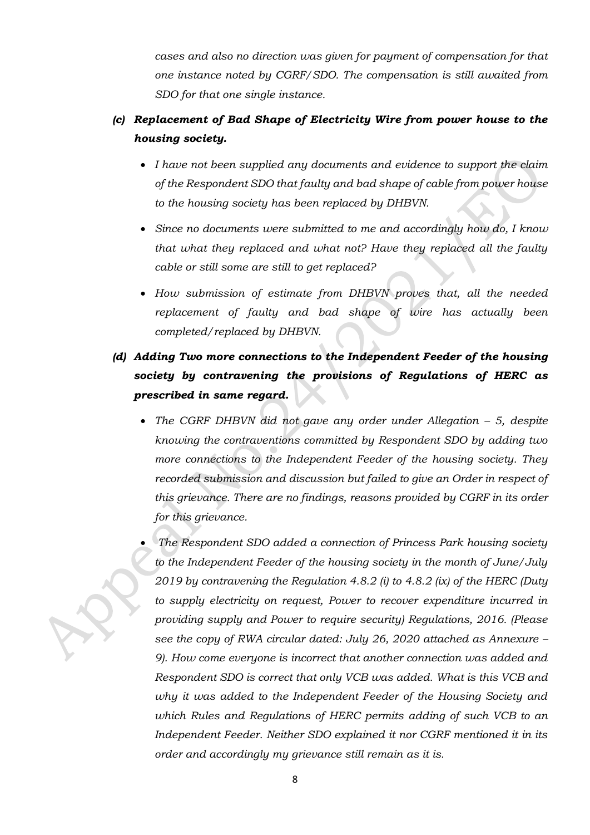*cases and also no direction was given for payment of compensation for that one instance noted by CGRF/SDO. The compensation is still awaited from SDO for that one single instance.*

## *(c) Replacement of Bad Shape of Electricity Wire from power house to the housing society.*

- *I have not been supplied any documents and evidence to support the claim of the Respondent SDO that faulty and bad shape of cable from power house to the housing society has been replaced by DHBVN.*
- *Since no documents were submitted to me and accordingly how do, I know that what they replaced and what not? Have they replaced all the faulty cable or still some are still to get replaced?*
- *How submission of estimate from DHBVN proves that, all the needed replacement of faulty and bad shape of wire has actually been completed/replaced by DHBVN.*

## *(d) Adding Two more connections to the Independent Feeder of the housing society by contravening the provisions of Regulations of HERC as prescribed in same regard.*

- *The CGRF DHBVN did not gave any order under Allegation – 5, despite knowing the contraventions committed by Respondent SDO by adding two more connections to the Independent Feeder of the housing society. They recorded submission and discussion but failed to give an Order in respect of this grievance. There are no findings, reasons provided by CGRF in its order for this grievance.*
- *The Respondent SDO added a connection of Princess Park housing society to the Independent Feeder of the housing society in the month of June/July 2019 by contravening the Regulation 4.8.2 (i) to 4.8.2 (ix) of the HERC (Duty to supply electricity on request, Power to recover expenditure incurred in providing supply and Power to require security) Regulations, 2016. (Please see the copy of RWA circular dated: July 26, 2020 attached as Annexure – 9). How come everyone is incorrect that another connection was added and Respondent SDO is correct that only VCB was added. What is this VCB and why it was added to the Independent Feeder of the Housing Society and which Rules and Regulations of HERC permits adding of such VCB to an Independent Feeder. Neither SDO explained it nor CGRF mentioned it in its order and accordingly my grievance still remain as it is.*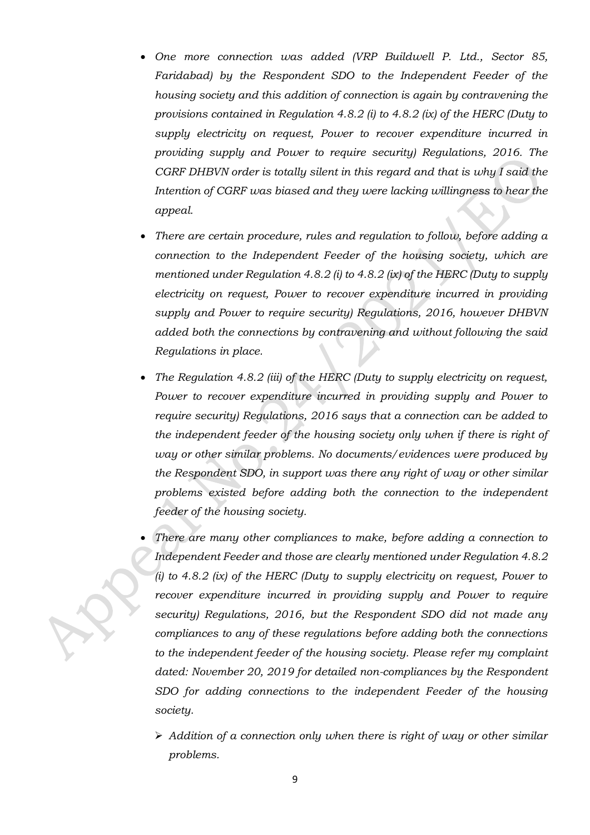- *One more connection was added (VRP Buildwell P. Ltd., Sector 85, Faridabad) by the Respondent SDO to the Independent Feeder of the housing society and this addition of connection is again by contravening the provisions contained in Regulation 4.8.2 (i) to 4.8.2 (ix) of the HERC (Duty to supply electricity on request, Power to recover expenditure incurred in providing supply and Power to require security) Regulations, 2016. The CGRF DHBVN order is totally silent in this regard and that is why I said the Intention of CGRF was biased and they were lacking willingness to hear the appeal.*
- *There are certain procedure, rules and regulation to follow, before adding a connection to the Independent Feeder of the housing society, which are mentioned under Regulation 4.8.2 (i) to 4.8.2 (ix) of the HERC (Duty to supply electricity on request, Power to recover expenditure incurred in providing supply and Power to require security) Regulations, 2016, however DHBVN added both the connections by contravening and without following the said Regulations in place.*
- *The Regulation 4.8.2 (iii) of the HERC (Duty to supply electricity on request, Power to recover expenditure incurred in providing supply and Power to require security) Regulations, 2016 says that a connection can be added to the independent feeder of the housing society only when if there is right of way or other similar problems. No documents/evidences were produced by the Respondent SDO, in support was there any right of way or other similar problems existed before adding both the connection to the independent feeder of the housing society.*
- *There are many other compliances to make, before adding a connection to Independent Feeder and those are clearly mentioned under Regulation 4.8.2 (i) to 4.8.2 (ix) of the HERC (Duty to supply electricity on request, Power to recover expenditure incurred in providing supply and Power to require security) Regulations, 2016, but the Respondent SDO did not made any compliances to any of these regulations before adding both the connections to the independent feeder of the housing society. Please refer my complaint dated: November 20, 2019 for detailed non-compliances by the Respondent SDO for adding connections to the independent Feeder of the housing society.*
	- ➢ *Addition of a connection only when there is right of way or other similar problems.*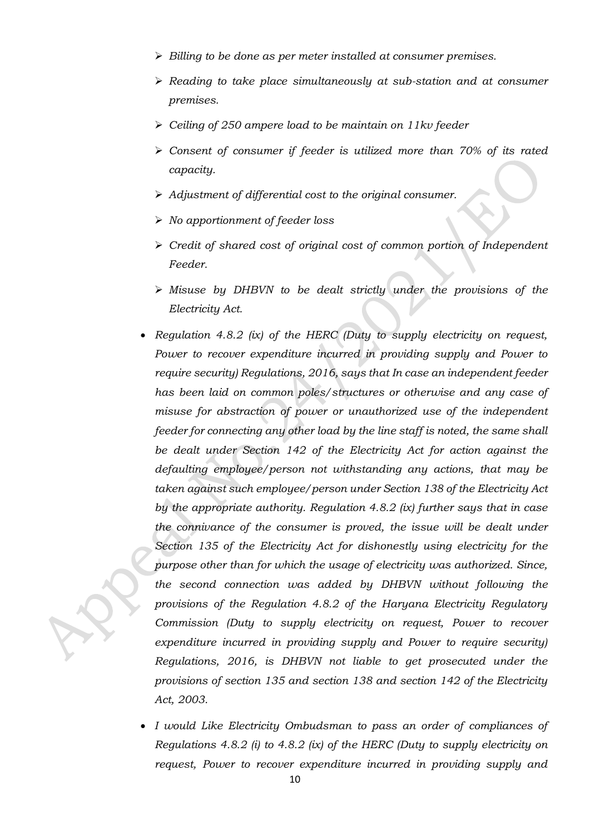- ➢ *Billing to be done as per meter installed at consumer premises.*
- ➢ *Reading to take place simultaneously at sub-station and at consumer premises.*
- ➢ *Ceiling of 250 ampere load to be maintain on 11kv feeder*
- ➢ *Consent of consumer if feeder is utilized more than 70% of its rated capacity.*
- ➢ *Adjustment of differential cost to the original consumer.*
- ➢ *No apportionment of feeder loss*
- ➢ *Credit of shared cost of original cost of common portion of Independent Feeder.*
- ➢ *Misuse by DHBVN to be dealt strictly under the provisions of the Electricity Act.*
- *Regulation 4.8.2 (ix) of the HERC (Duty to supply electricity on request, Power to recover expenditure incurred in providing supply and Power to require security) Regulations, 2016, says that In case an independent feeder has been laid on common poles/structures or otherwise and any case of misuse for abstraction of power or unauthorized use of the independent feeder for connecting any other load by the line staff is noted, the same shall be dealt under Section 142 of the Electricity Act for action against the defaulting employee/person not withstanding any actions, that may be taken against such employee/person under Section 138 of the Electricity Act by the appropriate authority. Regulation 4.8.2 (ix) further says that in case the connivance of the consumer is proved, the issue will be dealt under Section 135 of the Electricity Act for dishonestly using electricity for the purpose other than for which the usage of electricity was authorized. Since, the second connection was added by DHBVN without following the provisions of the Regulation 4.8.2 of the Haryana Electricity Regulatory Commission (Duty to supply electricity on request, Power to recover expenditure incurred in providing supply and Power to require security) Regulations, 2016, is DHBVN not liable to get prosecuted under the provisions of section 135 and section 138 and section 142 of the Electricity Act, 2003.*
- *I would Like Electricity Ombudsman to pass an order of compliances of Regulations 4.8.2 (i) to 4.8.2 (ix) of the HERC (Duty to supply electricity on request, Power to recover expenditure incurred in providing supply and*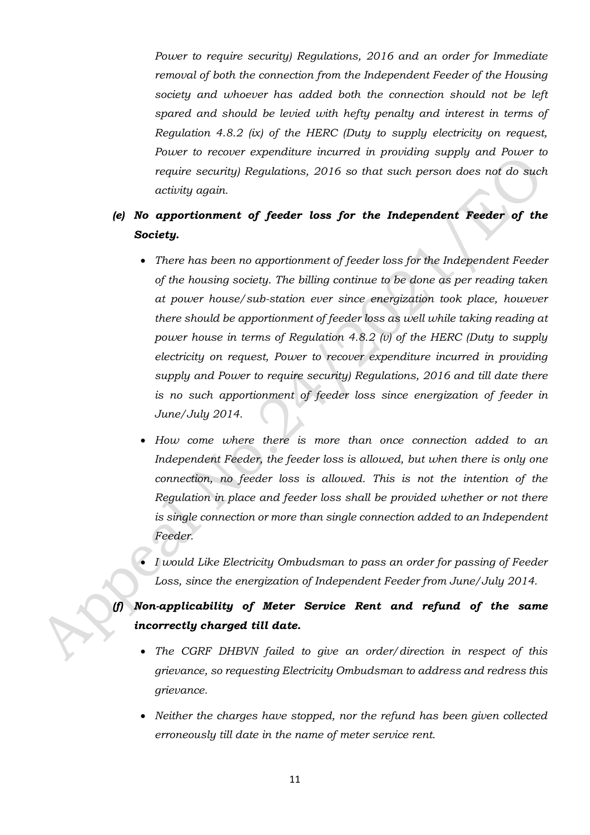*Power to require security) Regulations, 2016 and an order for Immediate removal of both the connection from the Independent Feeder of the Housing society and whoever has added both the connection should not be left spared and should be levied with hefty penalty and interest in terms of Regulation 4.8.2 (ix) of the HERC (Duty to supply electricity on request, Power to recover expenditure incurred in providing supply and Power to require security) Regulations, 2016 so that such person does not do such activity again.*

## *(e) No apportionment of feeder loss for the Independent Feeder of the Society.*

- *There has been no apportionment of feeder loss for the Independent Feeder of the housing society. The billing continue to be done as per reading taken at power house/sub-station ever since energization took place, however there should be apportionment of feeder loss as well while taking reading at power house in terms of Regulation 4.8.2 (v) of the HERC (Duty to supply electricity on request, Power to recover expenditure incurred in providing supply and Power to require security) Regulations, 2016 and till date there is no such apportionment of feeder loss since energization of feeder in June/July 2014.*
- *How come where there is more than once connection added to an Independent Feeder, the feeder loss is allowed, but when there is only one connection, no feeder loss is allowed. This is not the intention of the Regulation in place and feeder loss shall be provided whether or not there is single connection or more than single connection added to an Independent Feeder.*
- *I would Like Electricity Ombudsman to pass an order for passing of Feeder Loss, since the energization of Independent Feeder from June/July 2014.*

*(f) Non-applicability of Meter Service Rent and refund of the same incorrectly charged till date.*

- *The CGRF DHBVN failed to give an order/direction in respect of this grievance, so requesting Electricity Ombudsman to address and redress this grievance.*
- *Neither the charges have stopped, nor the refund has been given collected erroneously till date in the name of meter service rent.*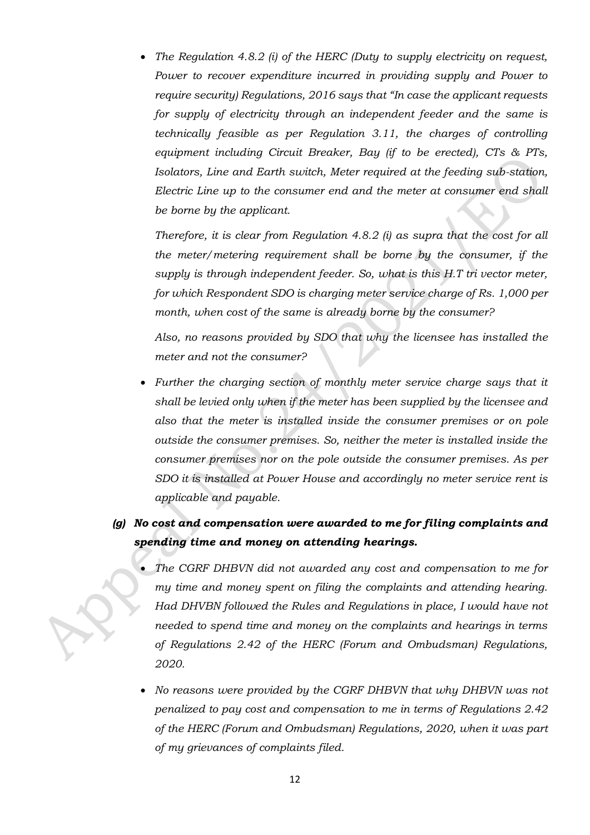• *The Regulation 4.8.2 (i) of the HERC (Duty to supply electricity on request, Power to recover expenditure incurred in providing supply and Power to require security) Regulations, 2016 says that "In case the applicant requests for supply of electricity through an independent feeder and the same is technically feasible as per Regulation 3.11, the charges of controlling equipment including Circuit Breaker, Bay (if to be erected), CTs & PTs, Isolators, Line and Earth switch, Meter required at the feeding sub-station, Electric Line up to the consumer end and the meter at consumer end shall be borne by the applicant.* 

*Therefore, it is clear from Regulation 4.8.2 (i) as supra that the cost for all the meter/metering requirement shall be borne by the consumer, if the supply is through independent feeder. So, what is this H.T tri vector meter, for which Respondent SDO is charging meter service charge of Rs. 1,000 per month, when cost of the same is already borne by the consumer?*

*Also, no reasons provided by SDO that why the licensee has installed the meter and not the consumer?*

- *Further the charging section of monthly meter service charge says that it shall be levied only when if the meter has been supplied by the licensee and also that the meter is installed inside the consumer premises or on pole outside the consumer premises. So, neither the meter is installed inside the consumer premises nor on the pole outside the consumer premises. As per SDO it is installed at Power House and accordingly no meter service rent is applicable and payable.*
- *(g) No cost and compensation were awarded to me for filing complaints and spending time and money on attending hearings.*
	- *The CGRF DHBVN did not awarded any cost and compensation to me for my time and money spent on filing the complaints and attending hearing. Had DHVBN followed the Rules and Regulations in place, I would have not needed to spend time and money on the complaints and hearings in terms of Regulations 2.42 of the HERC (Forum and Ombudsman) Regulations, 2020.*
	- *No reasons were provided by the CGRF DHBVN that why DHBVN was not penalized to pay cost and compensation to me in terms of Regulations 2.42 of the HERC (Forum and Ombudsman) Regulations, 2020, when it was part of my grievances of complaints filed.*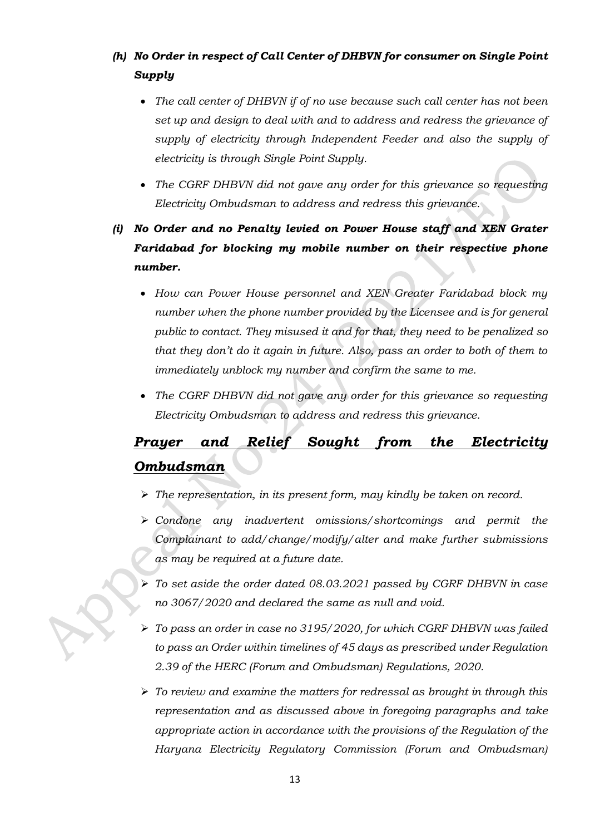## *(h) No Order in respect of Call Center of DHBVN for consumer on Single Point Supply*

- *The call center of DHBVN if of no use because such call center has not been set up and design to deal with and to address and redress the grievance of supply of electricity through Independent Feeder and also the supply of electricity is through Single Point Supply.*
- *The CGRF DHBVN did not gave any order for this grievance so requesting Electricity Ombudsman to address and redress this grievance.*
- *(i) No Order and no Penalty levied on Power House staff and XEN Grater Faridabad for blocking my mobile number on their respective phone number.*
	- *How can Power House personnel and XEN Greater Faridabad block my number when the phone number provided by the Licensee and is for general public to contact. They misused it and for that, they need to be penalized so that they don't do it again in future. Also, pass an order to both of them to immediately unblock my number and confirm the same to me.*
	- *The CGRF DHBVN did not gave any order for this grievance so requesting Electricity Ombudsman to address and redress this grievance.*

# *Prayer and Relief Sought from the Electricity Ombudsman*

- ➢ *The representation, in its present form, may kindly be taken on record.*
- ➢ *Condone any inadvertent omissions/shortcomings and permit the Complainant to add/change/modify/alter and make further submissions as may be required at a future date.*
- ➢ *To set aside the order dated 08.03.2021 passed by CGRF DHBVN in case no 3067/2020 and declared the same as null and void.*
- ➢ *To pass an order in case no 3195/2020, for which CGRF DHBVN was failed to pass an Order within timelines of 45 days as prescribed under Regulation 2.39 of the HERC (Forum and Ombudsman) Regulations, 2020.*
- ➢ *To review and examine the matters for redressal as brought in through this representation and as discussed above in foregoing paragraphs and take appropriate action in accordance with the provisions of the Regulation of the Haryana Electricity Regulatory Commission (Forum and Ombudsman)*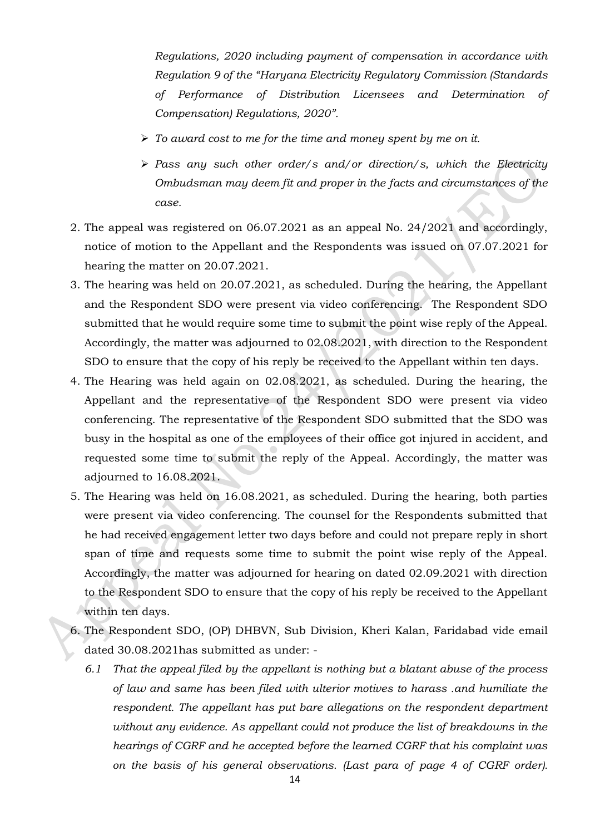*Regulations, 2020 including payment of compensation in accordance with Regulation 9 of the "Haryana Electricity Regulatory Commission (Standards of Performance of Distribution Licensees and Determination of Compensation) Regulations, 2020".*

- ➢ *To award cost to me for the time and money spent by me on it.*
- ➢ *Pass any such other order/s and/or direction/s, which the Electricity Ombudsman may deem fit and proper in the facts and circumstances of the case.*
- 2. The appeal was registered on 06.07.2021 as an appeal No. 24/2021 and accordingly, notice of motion to the Appellant and the Respondents was issued on 07.07.2021 for hearing the matter on 20.07.2021.
- 3. The hearing was held on 20.07.2021, as scheduled. During the hearing, the Appellant and the Respondent SDO were present via video conferencing. The Respondent SDO submitted that he would require some time to submit the point wise reply of the Appeal. Accordingly, the matter was adjourned to 02.08.2021, with direction to the Respondent SDO to ensure that the copy of his reply be received to the Appellant within ten days.
- 4. The Hearing was held again on 02.08.2021, as scheduled. During the hearing, the Appellant and the representative of the Respondent SDO were present via video conferencing. The representative of the Respondent SDO submitted that the SDO was busy in the hospital as one of the employees of their office got injured in accident, and requested some time to submit the reply of the Appeal. Accordingly, the matter was adjourned to 16.08.2021.
- 5. The Hearing was held on 16.08.2021, as scheduled. During the hearing, both parties were present via video conferencing. The counsel for the Respondents submitted that he had received engagement letter two days before and could not prepare reply in short span of time and requests some time to submit the point wise reply of the Appeal. Accordingly, the matter was adjourned for hearing on dated 02.09.2021 with direction to the Respondent SDO to ensure that the copy of his reply be received to the Appellant within ten days.
- 6. The Respondent SDO, (OP) DHBVN, Sub Division, Kheri Kalan, Faridabad vide email dated 30.08.2021has submitted as under: -
	- *6.1 That the appeal filed by the appellant is nothing but a blatant abuse of the process of law and same has been filed with ulterior motives to harass .and humiliate the respondent. The appellant has put bare allegations on the respondent department without any evidence. As appellant could not produce the list of breakdowns in the hearings of CGRF and he accepted before the learned CGRF that his complaint was on the basis of his general observations. (Last para of page 4 of CGRF order).*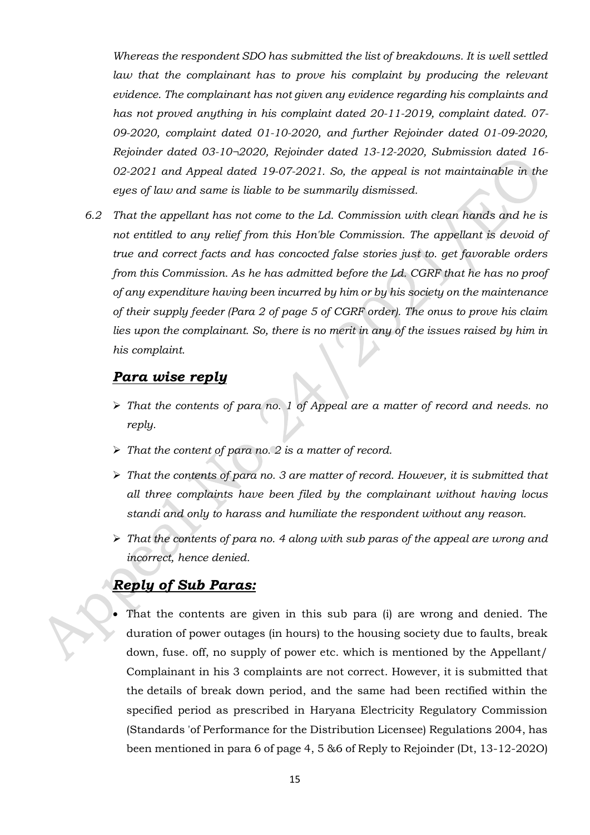*Whereas the respondent SDO has submitted the list of breakdowns. It is well settled*  law that the complainant has to prove his complaint by producing the relevant *evidence. The complainant has not given any evidence regarding his complaints and has not proved anything in his complaint dated 20-11-2019, complaint dated. 07- 09-2020, complaint dated 01-10-2020, and further Rejoinder dated 01-09-2020, Rejoinder dated 03-10¬2020, Rejoinder dated 13-12-2020, Submission dated 16- 02-2021 and Appeal dated 19-07-2021. So, the appeal is not maintainable in the eyes of law and same is liable to be summarily dismissed.* 

*6.2 That the appellant has not come to the Ld. Commission with clean hands and he is not entitled to any relief from this Hon'ble Commission. The appellant is devoid of true and correct facts and has concocted false stories just to. get favorable orders from this Commission. As he has admitted before the Ld. CGRF that he has no proof of any expenditure having been incurred by him or by his society on the maintenance of their supply feeder (Para 2 of page 5 of CGRF order). The onus to prove his claim*  lies upon the complainant. So, there is no merit in any of the issues raised by him in *his complaint.*

## *Para wise reply*

- ➢ *That the contents of para no. 1 of Appeal are a matter of record and needs. no reply.*
- ➢ *That the content of para no. 2 is a matter of record.*
- ➢ *That the contents of para no. 3 are matter of record. However, it is submitted that all three complaints have been filed by the complainant without having locus standi and only to harass and humiliate the respondent without any reason.*
- ➢ *That the contents of para no. 4 along with sub paras of the appeal are wrong and incorrect, hence denied.*

## *Reply of Sub Paras:*

That the contents are given in this sub para (i) are wrong and denied. The duration of power outages (in hours) to the housing society due to faults, break down, fuse. off, no supply of power etc. which is mentioned by the Appellant/ Complainant in his 3 complaints are not correct. However, it is submitted that the details of break down period, and the same had been rectified within the specified period as prescribed in Haryana Electricity Regulatory Commission (Standards 'of Performance for the Distribution Licensee) Regulations 2004, has been mentioned in para 6 of page 4, 5 &6 of Reply to Rejoinder (Dt, 13-12-202O)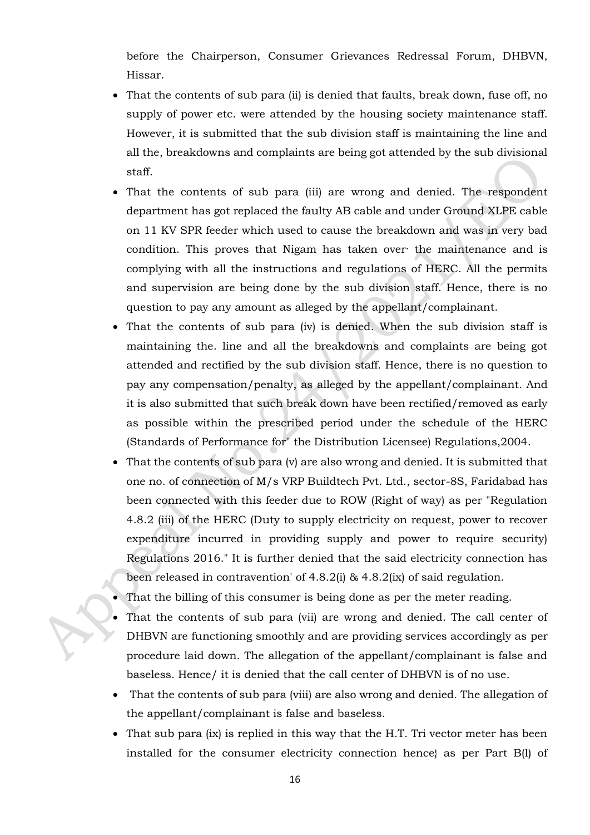before the Chairperson, Consumer Grievances Redressal Forum, DHBVN, Hissar.

- That the contents of sub para (ii) is denied that faults, break down, fuse off, no supply of power etc. were attended by the housing society maintenance staff. However, it is submitted that the sub division staff is maintaining the line and all the, breakdowns and complaints are being got attended by the sub divisional staff.
- That the contents of sub para (iii) are wrong and denied. The respondent department has got replaced the faulty AB cable and under Ground XLPE cable on 11 KV SPR feeder which used to cause the breakdown and was in very bad condition. This proves that Nigam has taken over· the maintenance and is complying with all the instructions and regulations of HERC. All the permits and supervision are being done by the sub division staff. Hence, there is no question to pay any amount as alleged by the appellant/complainant.
- That the contents of sub para (iv) is denied. When the sub division staff is maintaining the. line and all the breakdowns and complaints are being got attended and rectified by the sub division staff. Hence, there is no question to pay any compensation/penalty, as alleged by the appellant/complainant. And it is also submitted that such break down have been rectified/removed as early as possible within the prescribed period under the schedule of the HERC (Standards of Performance for" the Distribution Licensee) Regulations,2004.
- That the contents of sub para (v) are also wrong and denied. It is submitted that one no. of connection of M/s VRP Buildtech Pvt. Ltd., sector-8S, Faridabad has been connected with this feeder due to ROW (Right of way) as per "Regulation 4.8.2 (iii) of the HERC (Duty to supply electricity on request, power to recover expenditure incurred in providing supply and power to require security) Regulations 2016." It is further denied that the said electricity connection has been released in contravention' of 4.8.2(i) & 4.8.2(ix) of said regulation.
- That the billing of this consumer is being done as per the meter reading.
- That the contents of sub para (vii) are wrong and denied. The call center of DHBVN are functioning smoothly and are providing services accordingly as per procedure laid down. The allegation of the appellant/complainant is false and baseless. Hence/ it is denied that the call center of DHBVN is of no use.
- That the contents of sub para (viii) are also wrong and denied. The allegation of the appellant/complainant is false and baseless.
- That sub para (ix) is replied in this way that the H.T. Tri vector meter has been installed for the consumer electricity connection hence} as per Part B(l) of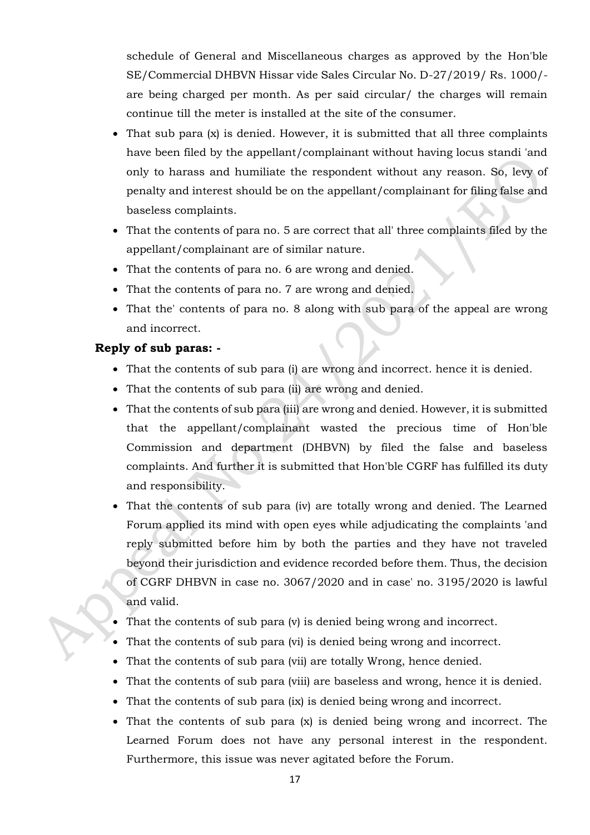schedule of General and Miscellaneous charges as approved by the Hon'ble SE/Commercial DHBVN Hissar vide Sales Circular No. D-27/2019/ Rs. 1000/ are being charged per month. As per said circular/ the charges will remain continue till the meter is installed at the site of the consumer.

- That sub para (x) is denied. However, it is submitted that all three complaints have been filed by the appellant/complainant without having locus standi 'and only to harass and humiliate the respondent without any reason. So, levy of penalty and interest should be on the appellant/complainant for filing false and baseless complaints.
- That the contents of para no. 5 are correct that all' three complaints filed by the appellant/complainant are of similar nature.
- That the contents of para no. 6 are wrong and denied.
- That the contents of para no. 7 are wrong and denied.
- That the' contents of para no. 8 along with sub para of the appeal are wrong and incorrect.

## **Reply of sub paras: -**

- That the contents of sub para (i) are wrong and incorrect. hence it is denied.
- That the contents of sub para (ii) are wrong and denied.
- That the contents of sub para (iii) are wrong and denied. However, it is submitted that the appellant/complainant wasted the precious time of Hon'ble Commission and department (DHBVN) by filed the false and baseless complaints. And further it is submitted that Hon'ble CGRF has fulfilled its duty and responsibility.
- That the contents of sub para (iv) are totally wrong and denied. The Learned Forum applied its mind with open eyes while adjudicating the complaints 'and reply submitted before him by both the parties and they have not traveled beyond their jurisdiction and evidence recorded before them. Thus, the decision of CGRF DHBVN in case no. 3067/2020 and in case' no. 3195/2020 is lawful and valid.
- That the contents of sub para (v) is denied being wrong and incorrect.
- That the contents of sub para (vi) is denied being wrong and incorrect.
- That the contents of sub para (vii) are totally Wrong, hence denied.
- That the contents of sub para (viii) are baseless and wrong, hence it is denied.
- That the contents of sub para (ix) is denied being wrong and incorrect.
- That the contents of sub para (x) is denied being wrong and incorrect. The Learned Forum does not have any personal interest in the respondent. Furthermore, this issue was never agitated before the Forum.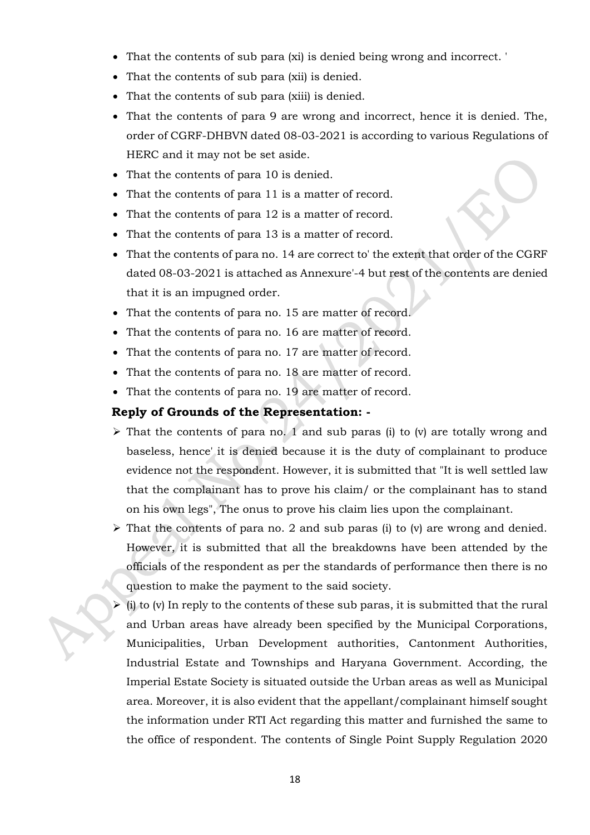- That the contents of sub para (xi) is denied being wrong and incorrect. '
- That the contents of sub para (xii) is denied.
- That the contents of sub para (xiii) is denied.
- That the contents of para 9 are wrong and incorrect, hence it is denied. The, order of CGRF-DHBVN dated 08-03-2021 is according to various Regulations of HERC and it may not be set aside.
- That the contents of para 10 is denied.
- That the contents of para 11 is a matter of record.
- That the contents of para 12 is a matter of record.
- That the contents of para 13 is a matter of record.
- That the contents of para no. 14 are correct to' the extent that order of the CGRF dated 08-03-2021 is attached as Annexure'-4 but rest of the contents are denied that it is an impugned order.
- That the contents of para no. 15 are matter of record.
- That the contents of para no. 16 are matter of record.
- That the contents of para no. 17 are matter of record.
- That the contents of para no. 18 are matter of record.
- That the contents of para no. 19 are matter of record.

#### **Reply of Grounds of the Representation: -**

- $\triangleright$  That the contents of para no. 1 and sub paras (i) to (v) are totally wrong and baseless, hence' it is denied because it is the duty of complainant to produce evidence not the respondent. However, it is submitted that "It is well settled law that the complainant has to prove his claim/ or the complainant has to stand on his own legs", The onus to prove his claim lies upon the complainant.
- $\triangleright$  That the contents of para no. 2 and sub paras (i) to (v) are wrong and denied. However, it is submitted that all the breakdowns have been attended by the officials of the respondent as per the standards of performance then there is no question to make the payment to the said society.
- $\triangleright$  (i) to (v) In reply to the contents of these sub paras, it is submitted that the rural and Urban areas have already been specified by the Municipal Corporations, Municipalities, Urban Development authorities, Cantonment Authorities, Industrial Estate and Townships and Haryana Government. According, the Imperial Estate Society is situated outside the Urban areas as well as Municipal area. Moreover, it is also evident that the appellant/complainant himself sought the information under RTI Act regarding this matter and furnished the same to the office of respondent. The contents of Single Point Supply Regulation 2020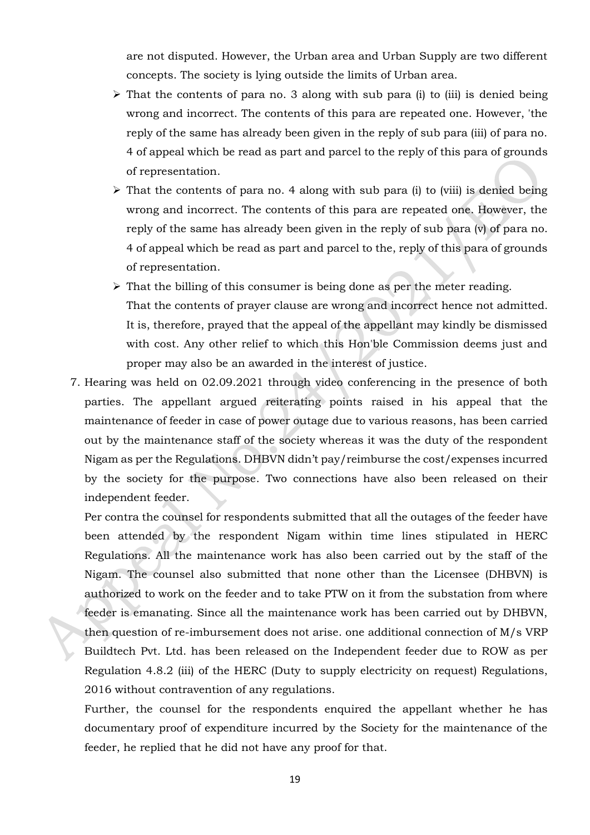are not disputed. However, the Urban area and Urban Supply are two different concepts. The society is lying outside the limits of Urban area.

- $\triangleright$  That the contents of para no. 3 along with sub para (i) to (iii) is denied being wrong and incorrect. The contents of this para are repeated one. However, 'the reply of the same has already been given in the reply of sub para (iii) of para no. 4 of appeal which be read as part and parcel to the reply of this para of grounds of representation.
- $\triangleright$  That the contents of para no. 4 along with sub para (i) to (viii) is denied being wrong and incorrect. The contents of this para are repeated one. However, the reply of the same has already been given in the reply of sub para (v) of para no. 4 of appeal which be read as part and parcel to the, reply of this para of grounds of representation.
- $\triangleright$  That the billing of this consumer is being done as per the meter reading. That the contents of prayer clause are wrong and incorrect hence not admitted. It is, therefore, prayed that the appeal of the appellant may kindly be dismissed with cost. Any other relief to which this Hon'ble Commission deems just and proper may also be an awarded in the interest of justice.
- 7. Hearing was held on 02.09.2021 through video conferencing in the presence of both parties. The appellant argued reiterating points raised in his appeal that the maintenance of feeder in case of power outage due to various reasons, has been carried out by the maintenance staff of the society whereas it was the duty of the respondent Nigam as per the Regulations. DHBVN didn't pay/reimburse the cost/expenses incurred by the society for the purpose. Two connections have also been released on their independent feeder.

Per contra the counsel for respondents submitted that all the outages of the feeder have been attended by the respondent Nigam within time lines stipulated in HERC Regulations. All the maintenance work has also been carried out by the staff of the Nigam. The counsel also submitted that none other than the Licensee (DHBVN) is authorized to work on the feeder and to take PTW on it from the substation from where feeder is emanating. Since all the maintenance work has been carried out by DHBVN, then question of re-imbursement does not arise. one additional connection of M/s VRP Buildtech Pvt. Ltd. has been released on the Independent feeder due to ROW as per Regulation 4.8.2 (iii) of the HERC (Duty to supply electricity on request) Regulations, 2016 without contravention of any regulations.

Further, the counsel for the respondents enquired the appellant whether he has documentary proof of expenditure incurred by the Society for the maintenance of the feeder, he replied that he did not have any proof for that.